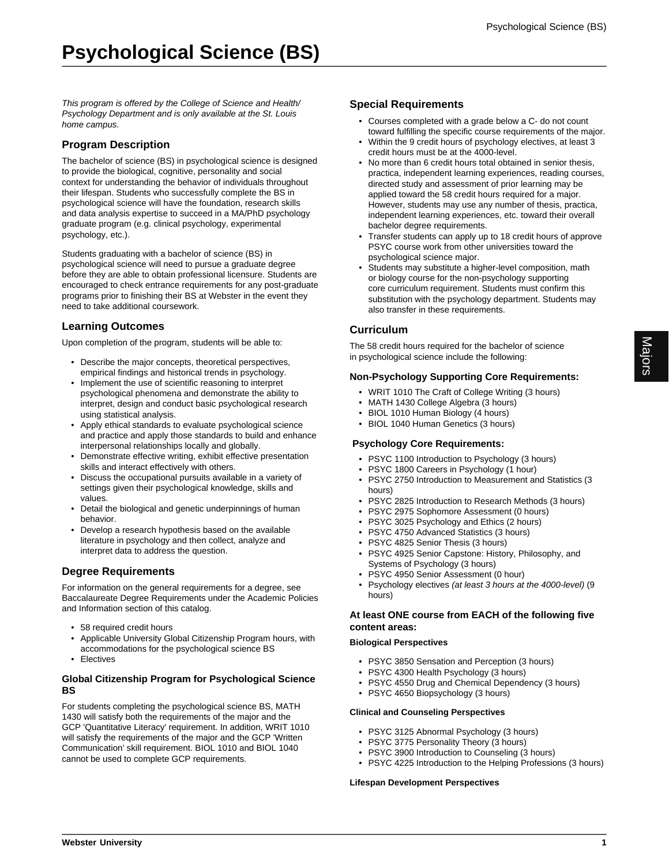This program is offered by the College of Science and Health/ Psychology Department and is only available at the St. Louis home campus.

## **Program Description**

The bachelor of science (BS) in psychological science is designed to provide the biological, cognitive, personality and social context for understanding the behavior of individuals throughout their lifespan. Students who successfully complete the BS in psychological science will have the foundation, research skills and data analysis expertise to succeed in a MA/PhD psychology graduate program (e.g. clinical psychology, experimental psychology, etc.).

Students graduating with a bachelor of science (BS) in psychological science will need to pursue a graduate degree before they are able to obtain professional licensure. Students are encouraged to check entrance requirements for any post-graduate programs prior to finishing their BS at Webster in the event they need to take additional coursework.

#### **Learning Outcomes**

Upon completion of the program, students will be able to:

- Describe the major concepts, theoretical perspectives, empirical findings and historical trends in psychology.
- Implement the use of scientific reasoning to interpret psychological phenomena and demonstrate the ability to interpret, design and conduct basic psychological research using statistical analysis.
- Apply ethical standards to evaluate psychological science and practice and apply those standards to build and enhance interpersonal relationships locally and globally.
- Demonstrate effective writing, exhibit effective presentation skills and interact effectively with others.
- Discuss the occupational pursuits available in a variety of settings given their psychological knowledge, skills and values.
- Detail the biological and genetic underpinnings of human behavior.
- Develop a research hypothesis based on the available literature in psychology and then collect, analyze and interpret data to address the question.

## **Degree Requirements**

For information on the general requirements for a degree, see Baccalaureate Degree Requirements under the Academic Policies and Information section of this catalog.

- 58 required credit hours
- Applicable University Global Citizenship Program hours, with accommodations for the psychological science BS
- Electives

#### **Global Citizenship Program for Psychological Science BS**

For students completing the psychological science BS, MATH 1430 will satisfy both the requirements of the major and the GCP 'Quantitative Literacy' requirement. In addition, WRIT 1010 will satisfy the requirements of the major and the GCP 'Written Communication' skill requirement. BIOL 1010 and BIOL 1040 cannot be used to complete GCP requirements.

#### **Special Requirements**

- Courses completed with a grade below a C- do not count toward fulfilling the specific course requirements of the major.
- Within the 9 credit hours of psychology electives, at least 3 credit hours must be at the 4000-level.
- No more than 6 credit hours total obtained in senior thesis, practica, independent learning experiences, reading courses, directed study and assessment of prior learning may be applied toward the 58 credit hours required for a major. However, students may use any number of thesis, practica, independent learning experiences, etc. toward their overall bachelor degree requirements.
- Transfer students can apply up to 18 credit hours of approve PSYC course work from other universities toward the psychological science major.
- Students may substitute a higher-level composition, math or biology course for the non-psychology supporting core curriculum requirement. Students must confirm this substitution with the psychology department. Students may also transfer in these requirements.

## **Curriculum**

The 58 credit hours required for the bachelor of science in psychological science include the following:

#### **Non-Psychology Supporting Core Requirements:**

- WRIT 1010 The Craft of College Writing (3 hours)
- MATH 1430 College Algebra (3 hours)
- BIOL 1010 Human Biology (4 hours)
- BIOL 1040 Human Genetics (3 hours)

#### **Psychology Core Requirements:**

- PSYC 1100 Introduction to Psychology (3 hours)
- PSYC 1800 Careers in Psychology (1 hour)
- PSYC 2750 Introduction to Measurement and Statistics (3 hours)
- PSYC 2825 Introduction to Research Methods (3 hours)
- PSYC 2975 Sophomore Assessment (0 hours)
- PSYC 3025 Psychology and Ethics (2 hours)
- PSYC 4750 Advanced Statistics (3 hours)
- PSYC 4825 Senior Thesis (3 hours)
- PSYC 4925 Senior Capstone: History, Philosophy, and Systems of Psychology (3 hours)
- PSYC 4950 Senior Assessment (0 hour)
- Psychology electives (at least 3 hours at the 4000-level) (9 hours)

#### **At least ONE course from EACH of the following five content areas:**

#### **Biological Perspectives**

- PSYC 3850 Sensation and Perception (3 hours)
- PSYC 4300 Health Psychology (3 hours)
- PSYC 4550 Drug and Chemical Dependency (3 hours)
- PSYC 4650 Biopsychology (3 hours)

#### **Clinical and Counseling Perspectives**

- PSYC 3125 Abnormal Psychology (3 hours)
- PSYC 3775 Personality Theory (3 hours)
- PSYC 3900 Introduction to Counseling (3 hours)
- PSYC 4225 Introduction to the Helping Professions (3 hours)

#### **Lifespan Development Perspectives**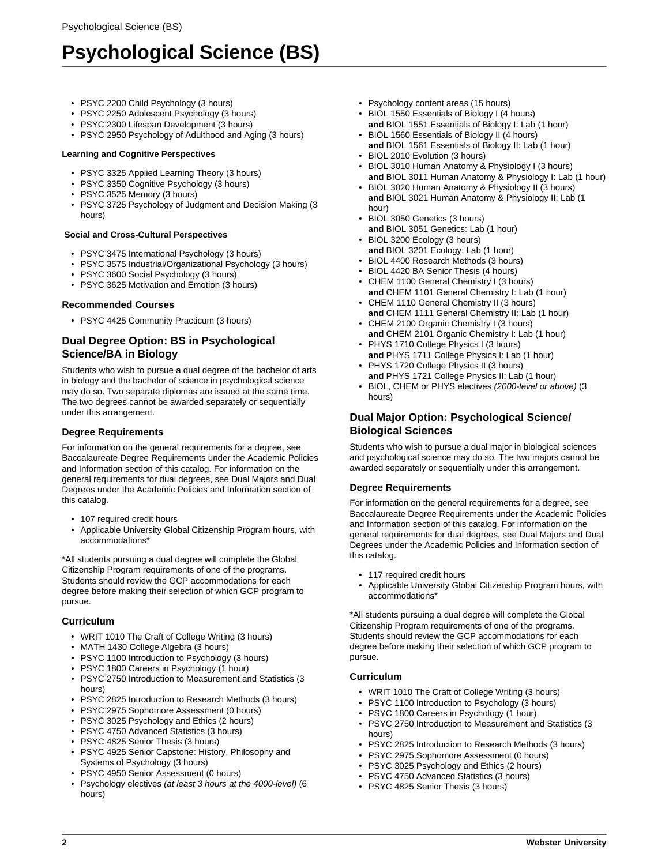# **Psychological Science (BS)**

- PSYC 2200 Child Psychology (3 hours)
- PSYC 2250 Adolescent Psychology (3 hours)
- PSYC 2300 Lifespan Development (3 hours)
- PSYC 2950 Psychology of Adulthood and Aging (3 hours)

#### **Learning and Cognitive Perspectives**

- PSYC 3325 Applied Learning Theory (3 hours)
- PSYC 3350 Cognitive Psychology (3 hours)
- PSYC 3525 Memory (3 hours)
- PSYC 3725 Psychology of Judgment and Decision Making (3 hours)

#### **Social and Cross-Cultural Perspectives**

- PSYC 3475 International Psychology (3 hours)
- PSYC 3575 Industrial/Organizational Psychology (3 hours)
- PSYC 3600 Social Psychology (3 hours)
- PSYC 3625 Motivation and Emotion (3 hours)

## **Recommended Courses**

• PSYC 4425 Community Practicum (3 hours)

# **Dual Degree Option: BS in Psychological Science/BA in Biology**

Students who wish to pursue a dual degree of the bachelor of arts in biology and the bachelor of science in psychological science may do so. Two separate diplomas are issued at the same time. The two degrees cannot be awarded separately or sequentially under this arrangement.

## **Degree Requirements**

For information on the general requirements for a degree, see Baccalaureate Degree Requirements under the Academic Policies and Information section of this catalog. For information on the general requirements for dual degrees, see Dual Majors and Dual Degrees under the Academic Policies and Information section of this catalog.

- 107 required credit hours
- Applicable University Global Citizenship Program hours, with accommodations\*

\*All students pursuing a dual degree will complete the Global Citizenship Program requirements of one of the programs. Students should review the GCP accommodations for each degree before making their selection of which GCP program to pursue.

## **Curriculum**

- WRIT 1010 The Craft of College Writing (3 hours)
- MATH 1430 College Algebra (3 hours)
- PSYC 1100 Introduction to Psychology (3 hours)
- PSYC 1800 Careers in Psychology (1 hour)
- PSYC 2750 Introduction to Measurement and Statistics (3 hours)
- PSYC 2825 Introduction to Research Methods (3 hours)
- PSYC 2975 Sophomore Assessment (0 hours)
- PSYC 3025 Psychology and Ethics (2 hours)
- PSYC 4750 Advanced Statistics (3 hours)
- PSYC 4825 Senior Thesis (3 hours)
- PSYC 4925 Senior Capstone: History, Philosophy and Systems of Psychology (3 hours)
- PSYC 4950 Senior Assessment (0 hours)
- Psychology electives (at least 3 hours at the 4000-level) (6 hours)
- Psychology content areas (15 hours)
- BIOL 1550 Essentials of Biology I (4 hours) **and** BIOL 1551 Essentials of Biology I: Lab (1 hour)
- BIOL 1560 Essentials of Biology II (4 hours) **and** BIOL 1561 Essentials of Biology II: Lab (1 hour)
- BIOL 2010 Evolution (3 hours)
- BIOL 3010 Human Anatomy & Physiology I (3 hours) **and** BIOL 3011 Human Anatomy & Physiology I: Lab (1 hour)
- BIOL 3020 Human Anatomy & Physiology II (3 hours) **and** BIOL 3021 Human Anatomy & Physiology II: Lab (1 hour)
- BIOL 3050 Genetics (3 hours)
- **and** BIOL 3051 Genetics: Lab (1 hour) • BIOL 3200 Ecology (3 hours)
- **and** BIOL 3201 Ecology: Lab (1 hour)
- BIOL 4400 Research Methods (3 hours)
- BIOL 4420 BA Senior Thesis (4 hours)
- CHEM 1100 General Chemistry I (3 hours)
- **and** CHEM 1101 General Chemistry I: Lab (1 hour) • CHEM 1110 General Chemistry II (3 hours)
- **and** CHEM 1111 General Chemistry II: Lab (1 hour) • CHEM 2100 Organic Chemistry I (3 hours)
- **and** CHEM 2101 Organic Chemistry I: Lab (1 hour) • PHYS 1710 College Physics I (3 hours)
- **and** PHYS 1711 College Physics I: Lab (1 hour) • PHYS 1720 College Physics II (3 hours)
- **and** PHYS 1721 College Physics II: Lab (1 hour)
- BIOL, CHEM or PHYS electives (2000-level or above) (3 hours)

## **Dual Major Option: Psychological Science/ Biological Sciences**

Students who wish to pursue a dual major in biological sciences and psychological science may do so. The two majors cannot be awarded separately or sequentially under this arrangement.

# **Degree Requirements**

For information on the general requirements for a degree, see Baccalaureate Degree Requirements under the Academic Policies and Information section of this catalog. For information on the general requirements for dual degrees, see Dual Majors and Dual Degrees under the Academic Policies and Information section of this catalog.

- 117 required credit hours
- Applicable University Global Citizenship Program hours, with accommodations\*

\*All students pursuing a dual degree will complete the Global Citizenship Program requirements of one of the programs. Students should review the GCP accommodations for each degree before making their selection of which GCP program to pursue.

## **Curriculum**

- WRIT 1010 The Craft of College Writing (3 hours)
- PSYC 1100 Introduction to Psychology (3 hours)
- PSYC 1800 Careers in Psychology (1 hour)
- PSYC 2750 Introduction to Measurement and Statistics (3 hours)
- PSYC 2825 Introduction to Research Methods (3 hours)
- PSYC 2975 Sophomore Assessment (0 hours)
- PSYC 3025 Psychology and Ethics (2 hours) • PSYC 4750 Advanced Statistics (3 hours)
- PSYC 4825 Senior Thesis (3 hours)
	-